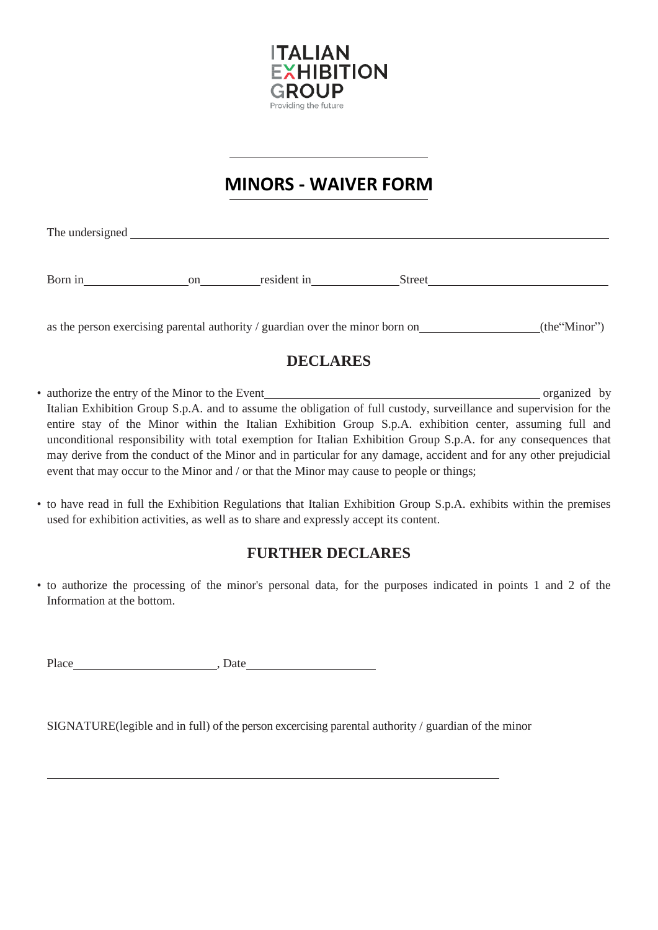

# **MINORS - WAIVER FORM**

The undersigned <u>example and the set of the set of the set of the set of the set of the set of the set of the set of the set of the set of the set of the set of the set of the set of the set of the set of the set of the se</u>

Born in on resident in Street

as the person exercising parental authority / guardian over the minor born on  $(the "Minor")$ 

# **DECLARES**

- authorize the entry of the Minor to the Event organized by Italian Exhibition Group S.p.A. and to assume the obligation of full custody, surveillance and supervision for the entire stay of the Minor within the Italian Exhibition Group S.p.A. exhibition center, assuming full and unconditional responsibility with total exemption for Italian Exhibition Group S.p.A. for any consequences that may derive from the conduct of the Minor and in particular for any damage, accident and for any other prejudicial event that may occur to the Minor and / or that the Minor may cause to people or things;
- to have read in full the Exhibition Regulations that Italian Exhibition Group S.p.A. exhibits within the premises used for exhibition activities, as well as to share and expressly accept its content.

# **FURTHER DECLARES**

• to authorize the processing of the minor's personal data, for the purposes indicated in points 1 and 2 of the Information at the bottom.

Place , Date

SIGNATURE(legible and in full) of the person excercising parental authority / guardian of the minor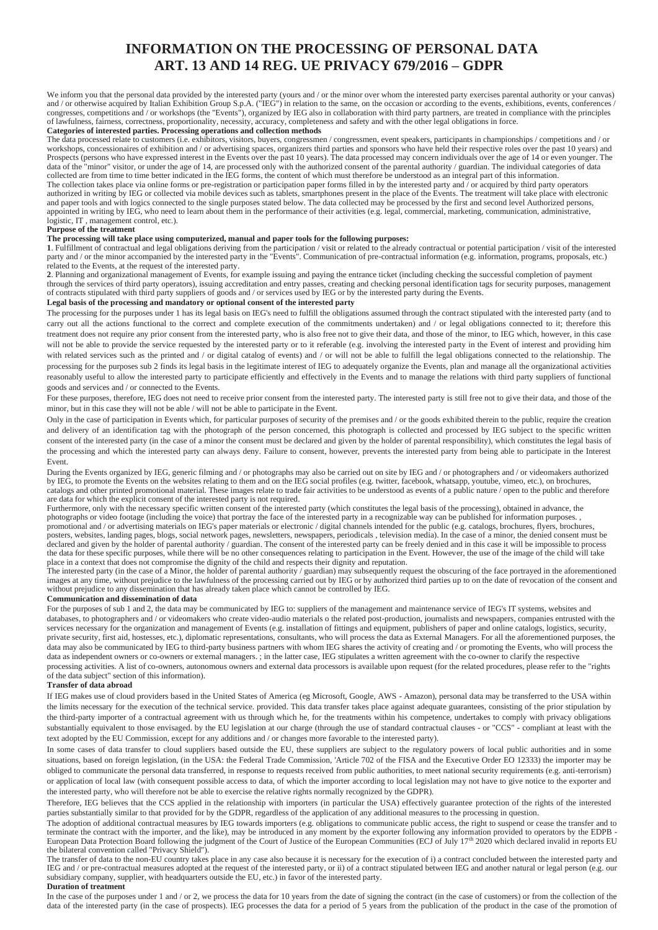### **INFORMATION ON THE PROCESSING OF PERSONAL DATA ART. 13 AND 14 REG. UE PRIVACY 679/2016 – GDPR**

We inform you that the personal data provided by the interested party (yours and / or the minor over whom the interested party exercises parental authority or your canvas) and / or otherwise acquired by Italian Exhibition Group S.p.A. ("IEG") in relation to the same, on the occasion or according to the events, exhibitions, events, conferences / congresses, competitions and / or workshops (the "Events"), organized by IEG also in collaboration with third party partners, are treated in compliance with the principles of lawfulness, fairness, correctness, proportionality, necessity, accuracy, completeness and safety and with the other legal obligations in force.

#### **Categories of interested parties. Processing operations and collection methods**

The data processed relate to customers (i.e. exhibitors, visitors, buyers, congressmen / congressmen, event speakers, participants in championships / competitions and / or workshops, concessionaires of exhibition and / or advertising spaces, organizers third parties and sponsors who have held their respective roles over the past 10 years) and Prospects (persons who have expressed interest in the Events over the past 10 years). The data processed may concern individuals over the age of 14 or even younger. The data of the "minor" visitor, or under the age of 14, are processed only with the authorized consent of the parental authority / guardian. The individual categories of data collected are from time to time better indicated in the IEG forms, the content of which must therefore be understood as an integral part of this information. The collection takes place via online forms or pre-registration or participation paper forms filled in by the interested party and / or acquired by third party operators authorized in writing by IEG or collected via mobile devices such as tablets, smartphones present in the place of the Events. The treatment will take place with electronic and paper tools and with logics connected to the single purposes stated below. The data collected may be processed by the first and second level Authorized persons, appointed in writing by IEG, who need to learn about them in the performance of their activities (e.g. legal, commercial, marketing, communication, administrative, logistic, IT , management control, etc.).

#### **Purpose of the treatment**

#### **The processing will take place using computerized, manual and paper tools for the following purposes:**

**1**. Fulfillment of contractual and legal obligations deriving from the participation / visit or related to the already contractual or potential participation / visit of the interested party and / or the minor accompanied by the interested party in the "Events". Communication of pre-contractual information (e.g. information, programs, proposals, etc.) related to the Events, at the request of the interested party.

**2**. Planning and organizational management of Events, for example issuing and paying the entrance ticket (including checking the successful completion of payment through the services of third party operators), issuing accreditation and entry passes, creating and checking personal identification tags for security purposes, management of contracts stipulated with third party suppliers of goods and / or services used by IEG or by the interested party during the Events.

#### **Legal basis of the processing and mandatory or optional consent of the interested party**

The processing for the purposes under 1 has its legal basis on IEG's need to fulfill the obligations assumed through the contract stipulated with the interested party (and to carry out all the actions functional to the correct and complete execution of the commitments undertaken) and / or legal obligations connected to it; therefore this treatment does not require any prior consent from the interested party, who is also free not to give their data, and those of the minor, to IEG which, however, in this case will not be able to provide the service requested by the interested party or to it referable (e.g. involving the interested party in the Event of interest and providing him with related services such as the printed and / or digital catalog of events) and / or will not be able to fulfill the legal obligations connected to the relationship. The processing for the purposes sub 2 finds its legal basis in the legitimate interest of IEG to adequately organize the Events, plan and manage all the organizational activities reasonably useful to allow the interested party to participate efficiently and effectively in the Events and to manage the relations with third party suppliers of functional goods and services and / or connected to the Events.

For these purposes, therefore, IEG does not need to receive prior consent from the interested party. The interested party is still free not to give their data, and those of the minor, but in this case they will not be able / will not be able to participate in the Event.

Only in the case of participation in Events which, for particular purposes of security of the premises and / or the goods exhibited therein to the public, require the creation and delivery of an identification tag with the photograph of the person concerned, this photograph is collected and processed by IEG subject to the specific written consent of the interested party (in the case of a minor the consent must be declared and given by the holder of parental responsibility), which constitutes the legal basis of the processing and which the interested party can always deny. Failure to consent, however, prevents the interested party from being able to participate in the Interest Event.

During the Events organized by IEG, generic filming and / or photographs may also be carried out on site by IEG and / or photographers and / or videomakers authorized by IEG, to promote the Events on the websites relating to them and on the IEG social profiles (e.g. twitter, facebook, whatsapp, youtube, vimeo, etc.), on brochures, catalogs and other printed promotional material. These images relate to trade fair activities to be understood as events of a public nature / open to the public and therefore are data for which the explicit consent of the interested party is not required.

Furthermore, only with the necessary specific written consent of the interested party (which constitutes the legal basis of the processing), obtained in advance, the photographs or video footage (including the voice) that portray the face of the interested party in a recognizable way can be published for information purposes. , promotional and / or advertising materials on IEG's paper materials or electronic / digital channels intended for the public (e.g. catalogs, brochures, flyers, brochures, posters, websites, landing pages, blogs, social network pages, newsletters, newspapers, periodicals , television media). In the case of a minor, the denied consent must be declared and given by the holder of parental authority / guardian. The consent of the interested party can be freely denied and in this case it will be impossible to process the data for these specific purposes, while there will be no other consequences relating to participation in the Event. However, the use of the image of the child will take place in a context that does not compromise the dignity of the child and respects their dignity and reputation.

The interested party (in the case of a Minor, the holder of parental authority / guardian) may subsequently request the obscuring of the face portrayed in the aforementioned images at any time, without prejudice to the lawfulness of the processing carried out by IEG or by authorized third parties up to on the date of revocation of the consent and without prejudice to any dissemination that has already taken place which cannot be controlled by IEG.

### **Communication and dissemination of data**

For the purposes of sub 1 and 2, the data may be communicated by IEG to: suppliers of the management and maintenance service of IEG's IT systems, websites and databases, to photographers and / or videomakers who create video-audio materials o the related post-production, journalists and newspapers, companies entrusted with the services necessary for the organization and management of Events (e.g. installation of fittings and equipment, publishers of paper and online catalogs, logistics, security, private security, first aid, hostesses, etc.), diplomatic representations, consultants, who will process the data as External Managers. For all the aforementioned purposes, the data may also be communicated by IEG to third-party business partners with whom IEG shares the activity of creating and / or promoting the Events, who will process the data as independent owners or co-owners or external managers. ; in the latter case, IEG stipulates a written agreement with the co-owner to clarify the respective processing activities. A list of co-owners, autonomous owners and external data processors is available upon request (for the related procedures, please refer to the "rights of the data subject" section of this information).

#### **Transfer of data abroad**

If IEG makes use of cloud providers based in the United States of America (eg Microsoft, Google, AWS - Amazon), personal data may be transferred to the USA within the limits necessary for the execution of the technical service. provided. This data transfer takes place against adequate guarantees, consisting of the prior stipulation by the third-party importer of a contractual agreement with us through which he, for the treatments within his competence, undertakes to comply with privacy obligations substantially equivalent to those envisaged. by the EU legislation at our charge (through the use of standard contractual clauses - or "CCS" - compliant at least with the text adopted by the EU Commission, except for any additions and / or changes more favorable to the interested party).

In some cases of data transfer to cloud suppliers based outside the EU, these suppliers are subject to the regulatory powers of local public authorities and in some situations, based on foreign legislation, (in the USA: the Federal Trade Commission, 'Article 702 of the FISA and the Executive Order EO 12333) the importer may be obliged to communicate the personal data transferred, in response to requests received from public authorities, to meet national security requirements (e.g. anti-terrorism) or application of local law (with consequent possible access to data, of which the importer according to local legislation may not have to give notice to the exporter and the interested party, who will therefore not be able to exercise the relative rights normally recognized by the GDPR).

Therefore, IEG believes that the CCS applied in the relationship with importers (in particular the USA) effectively guarantee protection of the rights of the interested parties substantially similar to that provided for by the GDPR, regardless of the application of any additional measures to the processing in question.

The adoption of additional contractual measures by IEG towards importers (e.g. obligations to communicate public access, the right to suspend or cease the transfer and to terminate the contract with the importer, and the like), may be introduced in any moment by the exporter following any information provided to operators by the EDPB -<br>European Data Protection Board following the judgment o the bilateral convention called "Privacy Shield").

The transfer of data to the non-EU country takes place in any case also because it is necessary for the execution of i) a contract concluded between the interested party and IEG and / or pre-contractual measures adopted at the request of the interested party, or ii) of a contract stipulated between IEG and another natural or legal person (e.g. our subsidiary company, supplier, with headquarters outside the EU, etc.) in favor of the interested party.

#### **Duration of treatment**

In the case of the purposes under 1 and / or 2, we process the data for 10 years from the date of signing the contract (in the case of customers) or from the collection of the data of the interested party (in the case of prospects). IEG processes the data for a period of 5 years from the publication of the product in the case of the promotion of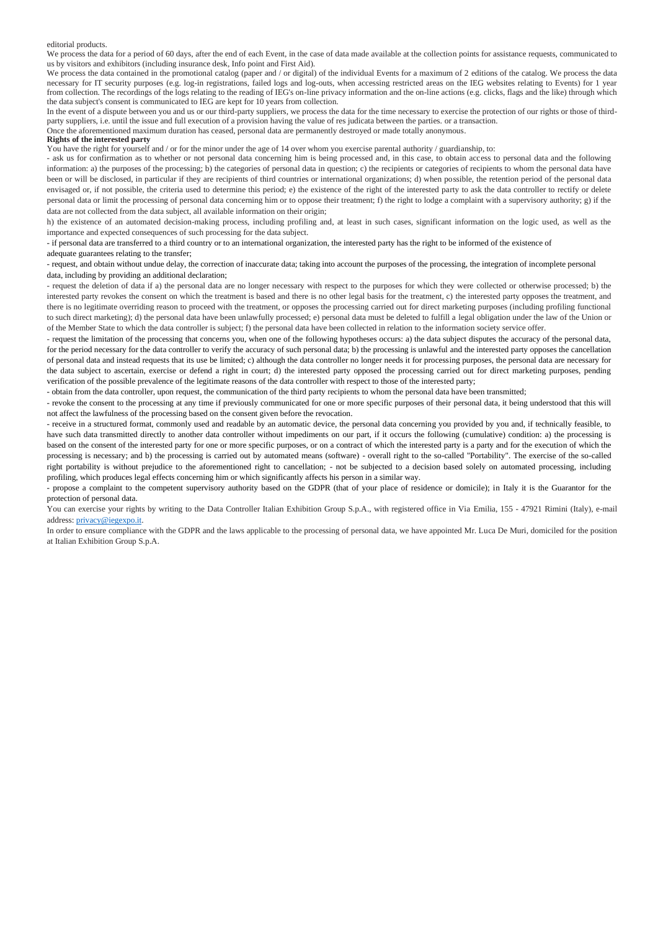editorial products.

We process the data for a period of 60 days, after the end of each Event, in the case of data made available at the collection points for assistance requests, communicated to us by visitors and exhibitors (including insurance desk, Info point and First Aid).

We process the data contained in the promotional catalog (paper and / or digital) of the individual Events for a maximum of 2 editions of the catalog. We process the data necessary for IT security purposes (e.g. log-in registrations, failed logs and log-outs, when accessing restricted areas on the IEG websites relating to Events) for 1 year from collection. The recordings of the logs relating to the reading of IEG's on-line privacy information and the on-line actions (e.g. clicks, flags and the like) through which the data subject's consent is communicated to IEG are kept for 10 years from collection.

In the event of a dispute between you and us or our third-party suppliers, we process the data for the time necessary to exercise the protection of our rights or those of thirdparty suppliers, i.e. until the issue and full execution of a provision having the value of res judicata between the parties. or a transaction.

Once the aforementioned maximum duration has ceased, personal data are permanently destroyed or made totally anonymous.

### **Rights of the interested party**

You have the right for yourself and / or for the minor under the age of 14 over whom you exercise parental authority / guardianship, to:

- ask us for confirmation as to whether or not personal data concerning him is being processed and, in this case, to obtain access to personal data and the following information: a) the purposes of the processing; b) the categories of personal data in question; c) the recipients or categories of recipients to whom the personal data have been or will be disclosed, in particular if they are recipients of third countries or international organizations; d) when possible, the retention period of the personal data envisaged or, if not possible, the criteria used to determine this period; e) the existence of the right of the interested party to ask the data controller to rectify or delete personal data or limit the processing of personal data concerning him or to oppose their treatment; f) the right to lodge a complaint with a supervisory authority; g) if the data are not collected from the data subject, all available information on their origin;

h) the existence of an automated decision-making process, including profiling and, at least in such cases, significant information on the logic used, as well as the importance and expected consequences of such processing for the data subject.

- if personal data are transferred to a third country or to an international organization, the interested party has the right to be informed of the existence of adequate guarantees relating to the transfer;

- request, and obtain without undue delay, the correction of inaccurate data; taking into account the purposes of the processing, the integration of incomplete personal data, including by providing an additional declaration;

- request the deletion of data if a) the personal data are no longer necessary with respect to the purposes for which they were collected or otherwise processed; b) the interested party revokes the consent on which the treatment is based and there is no other legal basis for the treatment, c) the interested party opposes the treatment, and there is no legitimate overriding reason to proceed with the treatment, or opposes the processing carried out for direct marketing purposes (including profiling functional to such direct marketing); d) the personal data have been unlawfully processed; e) personal data must be deleted to fulfill a legal obligation under the law of the Union or of the Member State to which the data controller is subject; f) the personal data have been collected in relation to the information society service offer.

- request the limitation of the processing that concerns you, when one of the following hypotheses occurs: a) the data subject disputes the accuracy of the personal data, for the period necessary for the data controller to verify the accuracy of such personal data; b) the processing is unlawful and the interested party opposes the cancellation of personal data and instead requests that its use be limited; c) although the data controller no longer needs it for processing purposes, the personal data are necessary for the data subject to ascertain, exercise or defend a right in court; d) the interested party opposed the processing carried out for direct marketing purposes, pending verification of the possible prevalence of the legitimate reasons of the data controller with respect to those of the interested party;

- obtain from the data controller, upon request, the communication of the third party recipients to whom the personal data have been transmitted;

- revoke the consent to the processing at any time if previously communicated for one or more specific purposes of their personal data, it being understood that this will not affect the lawfulness of the processing based on the consent given before the revocation.

- receive in a structured format, commonly used and readable by an automatic device, the personal data concerning you provided by you and, if technically feasible, to have such data transmitted directly to another data controller without impediments on our part, if it occurs the following (cumulative) condition: a) the processing is based on the consent of the interested party for one or more specific purposes, or on a contract of which the interested party is a party and for the execution of which the processing is necessary; and b) the processing is carried out by automated means (software) - overall right to the so-called "Portability". The exercise of the so-called right portability is without prejudice to the aforementioned right to cancellation; - not be subjected to a decision based solely on automated processing, including profiling, which produces legal effects concerning him or which significantly affects his person in a similar way.

- propose a complaint to the competent supervisory authority based on the GDPR (that of your place of residence or domicile); in Italy it is the Guarantor for the protection of personal data.

You can exercise your rights by writing to the Data Controller Italian Exhibition Group S.p.A., with registered office in Via Emilia, 155 - 47921 Rimini (Italy), e-mail address[: privacy@iegexpo.it.](mailto:privacy@iegexpo.it)

In order to ensure compliance with the GDPR and the laws applicable to the processing of personal data, we have appointed Mr. Luca De Muri, domiciled for the position at Italian Exhibition Group S.p.A.